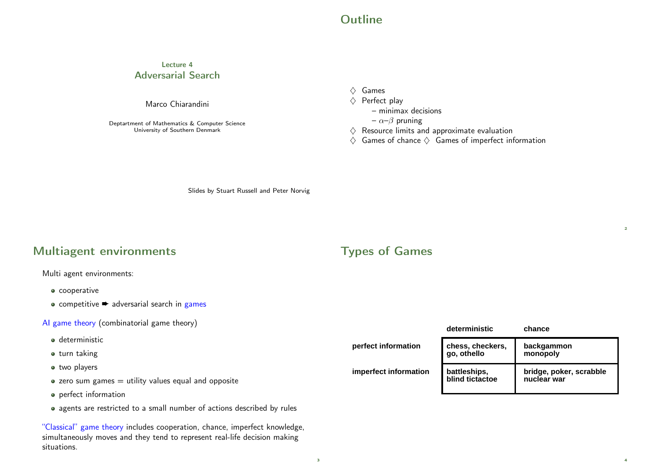#### **Outline**

#### Lecture 4 Adversarial Search

#### Marco Chiarandini

Deptartment of Mathematics & Computer Science University of Southern Denmark

 $\Diamond$  Games

#### $\Diamond$  Perfect play

- minimax decisions
- $-\alpha-\beta$  pruning
- $\Diamond$  Resource limits and approximate evaluation
- $\Diamond$  Games of chance  $\Diamond$  Games of imperfect information

Slides by Stuart Russell and Peter Norvig

#### Multiagent environments

Multi agent environments:

- **o** cooperative
- $\bullet$  competitive  $\bullet$  adversarial search in games

#### AI game theory (combinatorial game theory)

- **a** deterministic
- o turn taking
- two players
- $\bullet$  zero sum games  $=$  utility values equal and opposite
- perfect information
- agents are restricted to a small number of actions described by rules

"Classical" game theory includes cooperation, chance, imperfect knowledge, simultaneously moves and they tend to represent real-life decision making situations.

#### Types of Games

|                       | deterministic                   | chance                                 |
|-----------------------|---------------------------------|----------------------------------------|
| perfect information   | chess, checkers,<br>go, othello | backgammon<br>monopoly                 |
| imperfect information | battleships,<br>blind tictactoe | bridge, poker, scrabble<br>nuclear war |

 $\overline{2}$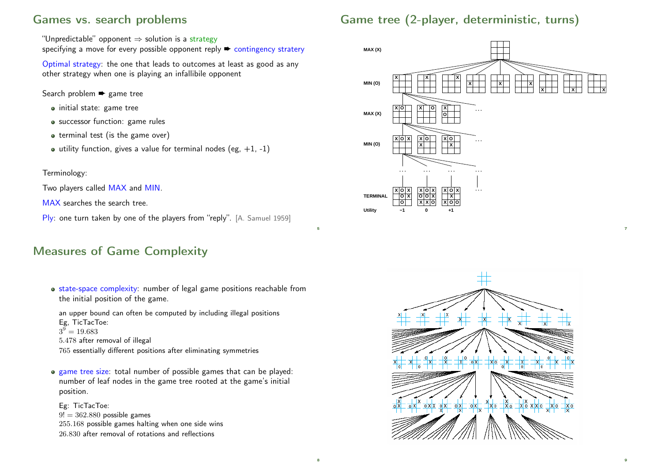### Games vs. search problems

# Game tree (2-player, deterministic, turns)

"Unpredictable" opponent  $\Rightarrow$  solution is a strategy

specifying a move for every possible opponent reply  $\rightarrow$  contingency stratery

Optimal strategy: the one that leads to outcomes at least as good as any other strategy when one is playing an infallibile opponent

Search problem <sup>→</sup> game tree

- initial state: game tree
- successor function: game rules
- $\bullet$  terminal test (is the game over)
- $\bullet$  utility function, gives a value for terminal nodes (eg, +1, -1)

#### Terminology:

Two players called MAX and MIN.

MAX searches the search tree.

Ply: one turn taken by one of the players from "reply". [A. Samuel 1959]

## Measures of Game Complexity

• state-space complexity: number of legal game positions reachable from the initial position of the game.

5

an upper bound can often be computed by including illegal positions Eg, TicTacToe:  $3^9 = 19.683$ 

```
5.478 after removal of illegal
```
765 essentially different positions after eliminating symmetries

game tree size: total number of possible games that can be played: number of leaf nodes in the game tree rooted at the game's initial position.

Eg: TicTacToe:  $9! = 362.880$  possible games 255.168 possible games halting when one side wins 26.830 after removal of rotations and reflections



7

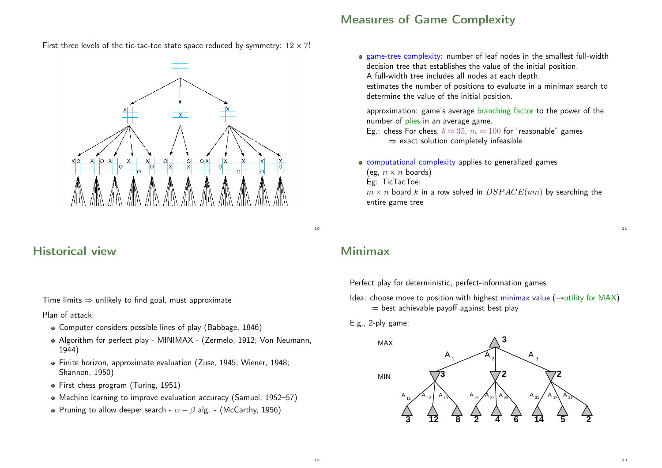#### Measures of Game Complexity

First three levels of the tic-tac-toe state space reduced by symmetry:  $12 \times 7!$ 



### Historical view

Time limits  $\Rightarrow$  unlikely to find goal, must approximate

Plan of attack:

- Computer considers possible lines of play (Babbage, 1846)
- Algorithm for perfect play MINIMAX (Zermelo, 1912; Von Neumann, 1944)
- Finite horizon, approximate evaluation (Zuse, 1945; Wiener, 1948; Shannon, 1950)
- First chess program (Turing, 1951)
- Machine learning to improve evaluation accuracy (Samuel, 1952–57)
- Pruning to allow deeper search  $\alpha \beta$  alg. (McCarthy, 1956)

#### game-tree complexity: number of leaf nodes in the smallest full-width decision tree that establishes the value of the initial position. A full-width tree includes all nodes at each depth. estimates the number of positions to evaluate in a minimax search to

determine the value of the initial position.

approximation: game's average branching factor to the power of the number of plies in an average game.

Eg.: chess For chess,  $b \approx 35$ ,  $m \approx 100$  for "reasonable" games  $\Rightarrow$  exact solution completely infeasible

computational complexity applies to generalized games (eg,  $n \times n$  boards) Eg: TicTacToe:  $m \times n$  board k in a row solved in  $DSPACE(mn)$  by searching the entire game tree

10

# Minimax

Perfect play for deterministic, perfect-information games

Idea: choose move to position with highest minimax value ( $\rightsquigarrow$ utility for MAX)  $=$  best achievable payoff against best play

#### E.g., 2-ply game:

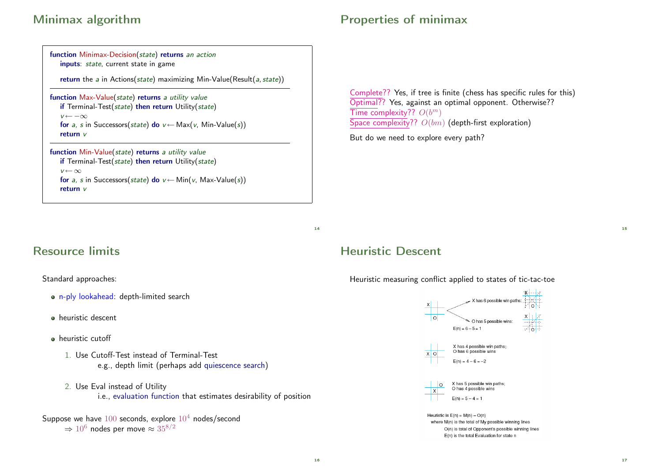# Minimax algorithm

| function Minimax-Decision(state) returns an action<br>inputs: state, current state in game                                                                                                                                              |  |  |
|-----------------------------------------------------------------------------------------------------------------------------------------------------------------------------------------------------------------------------------------|--|--|
| return the $a$ in Actions(state) maximizing Min-Value(Result( $a$ , state))                                                                                                                                                             |  |  |
| function Max-Value(state) returns a utility value<br>if Terminal-Test(state) then return Utility(state)<br>$v \leftarrow -\infty$<br>for a, s in Successors(state) do $v \leftarrow \text{Max}(v, \text{Min-Value}(s))$<br>return $\nu$ |  |  |
| function Min-Value(state) returns a utility value<br>if Terminal-Test(state) then return Utility(state)<br>$v \leftarrow \infty$<br>for a, s in Successors(state) do $v \leftarrow \text{Min}(v, \text{Max-Value}(s))$<br>return $\nu$  |  |  |

# Properties of minimax

Complete?? Yes, if tree is finite (chess has specific rules for this) Optimal?? Yes, against an optimal opponent. Otherwise?? Time complexity??  $O(b^m)$ Space complexity??  $O(bm)$  (depth-first exploration)

But do we need to explore every path?

14

# Resource limits

Standard approaches:

- n-ply lookahead: depth-limited search
- heuristic descent
- **·** heuristic cutoff
	- 1. Use Cutoff-Test instead of Terminal-Test e.g., depth limit (perhaps add quiescence search)
	- 2. Use Eval instead of Utility i.e., evaluation function that estimates desirability of position

Suppose we have  $100$  seconds, explore  $10<sup>4</sup>$  nodes/second  $\Rightarrow$  10<sup>6</sup> nodes per move  $\approx$  35<sup>8/2</sup>

## Heuristic Descent

Heuristic measuring conflict applied to states of tic-tac-toe



O(n) is total of Opponent's possible winning lines E(n) is the total Evaluation for state n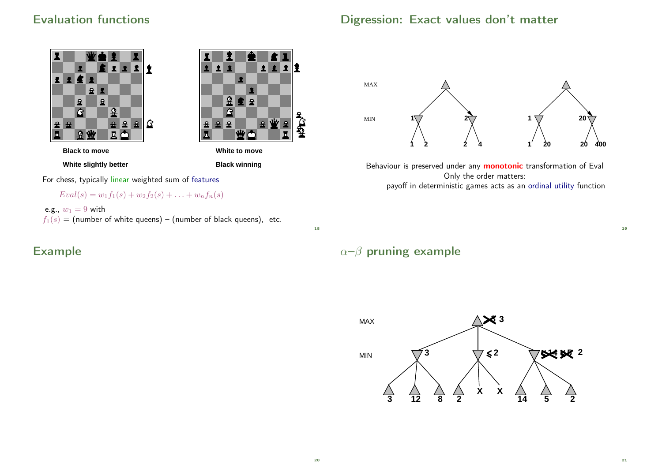## Evaluation functions





**White slightly better**

**Black winning**

For chess, typically linear weighted sum of features

 $Eval(s) = w_1f_1(s) + w_2f_2(s) + \ldots + w_nf_n(s)$ 

e.g.,  $w_1 = 9$  with  $f_1(s)$  = (number of white queens) – (number of black queens), etc.

Example





Behaviour is preserved under any **monotonic** transformation of Eval Only the order matters: payoff in deterministic games acts as an ordinal utility function

18

# $\alpha-\beta$  pruning example



21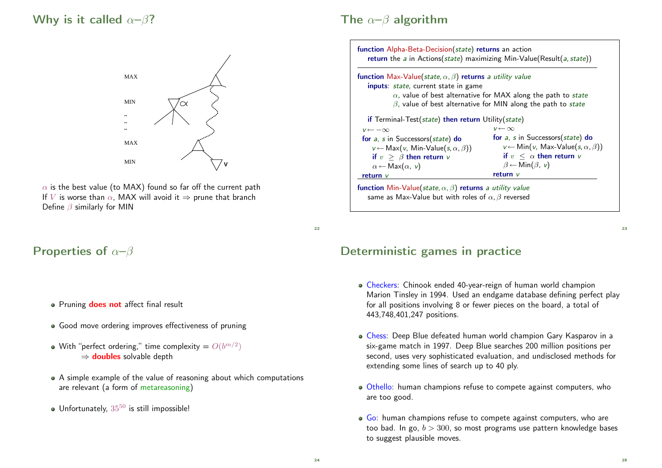### Why is it called  $\alpha-\beta$ ?



 $\alpha$  is the best value (to MAX) found so far off the current path If V is worse than  $\alpha$ , MAX will avoid it  $\Rightarrow$  prune that branch Define  $\beta$  similarly for MIN

## Properties of  $\alpha-\beta$

- Pruning **does not** affect final result
- Good move ordering improves effectiveness of pruning
- With "perfect ordering," time complexity  $=O(b^{m/2})$  $\Rightarrow$  doubles solvable depth
- A simple example of the value of reasoning about which computations are relevant (a form of metareasoning)
- $\bullet$  Unfortunately,  $35^{50}$  is still impossible!

### The  $\alpha-\beta$  algorithm



 $22$ 

#### Deterministic games in practice

- Checkers: Chinook ended 40-year-reign of human world champion Marion Tinsley in 1994. Used an endgame database defining perfect play for all positions involving 8 or fewer pieces on the board, a total of 443,748,401,247 positions.
- Chess: Deep Blue defeated human world champion Gary Kasparov in a six-game match in 1997. Deep Blue searches 200 million positions per second, uses very sophisticated evaluation, and undisclosed methods for extending some lines of search up to 40 ply.
- Othello: human champions refuse to compete against computers, who are too good.
- Go: human champions refuse to compete against computers, who are too bad. In go,  $b > 300$ , so most programs use pattern knowledge bases to suggest plausible moves.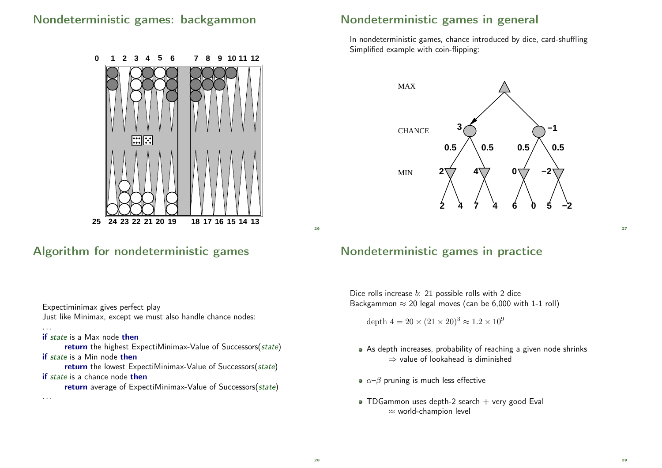## Nondeterministic games: backgammon



## Algorithm for nondeterministic games

Expectiminimax gives perfect play Just like Minimax, except we must also handle chance nodes:

if state is a Max node then

return the highest ExpectiMinimax-Value of Successors(state) if state is a Min node then

return the lowest ExpectiMinimax-Value of Successors(state) if state is a chance node then

return average of ExpectiMinimax-Value of Successors(state)

. . .

. . .

# Nondeterministic games in general

In nondeterministic games, chance introduced by dice, card-shuffling Simplified example with coin-flipping:



### Nondeterministic games in practice

Dice rolls increase b: 21 possible rolls with 2 dice Backgammon  $\approx$  20 legal moves (can be 6,000 with 1-1 roll)

depth  $4 = 20 \times (21 \times 20)^3 \approx 1.2 \times 10^9$ 

- As depth increases, probability of reaching a given node shrinks ⇒ value of lookahead is diminished
- $\alpha-\beta$  pruning is much less effective
- $\bullet$  TDGammon uses depth-2 search  $+$  very good Eval  $\approx$  world-champion level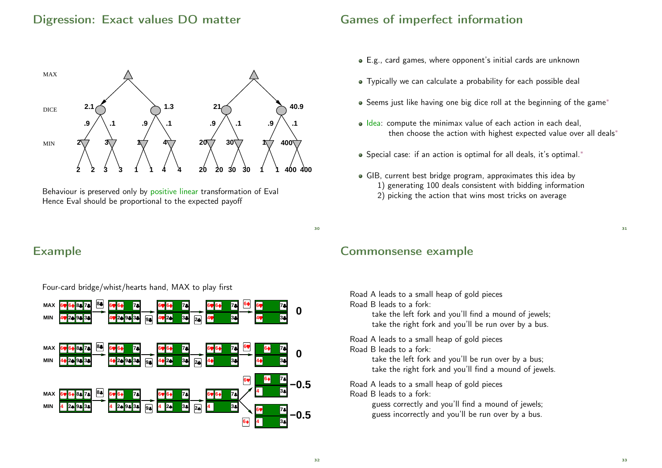#### Digression: Exact values DO matter



Behaviour is preserved only by positive linear transformation of Eval Hence Eval should be proportional to the expected payoff

### Games of imperfect information

- E.g., card games, where opponent's initial cards are unknown
- Typically we can calculate a probability for each possible deal
- Seems just like having one big dice roll at the beginning of the game<sup>\*</sup>
- o Idea: compute the minimax value of each action in each deal, then choose the action with highest expected value over all deals<sup>\*</sup>
- Special case: if an action is optimal for all deals, it's optimal.<sup>∗</sup>
- GIB, current best bridge program, approximates this idea by 1) generating 100 deals consistent with bidding information 2) picking the action that wins most tricks on average

Example



Four-card bridge/whist/hearts hand, MAX to play first

#### Commonsense example

Road A leads to a small heap of gold pieces Road B leads to a fork:

> take the left fork and you'll find a mound of jewels; take the right fork and you'll be run over by a bus.

Road A leads to a small heap of gold pieces Road B leads to a fork:

> take the left fork and you'll be run over by a bus; take the right fork and you'll find a mound of jewels.

Road A leads to a small heap of gold pieces Road B leads to a fork:

> guess correctly and you'll find a mound of jewels; guess incorrectly and you'll be run over by a bus.

30